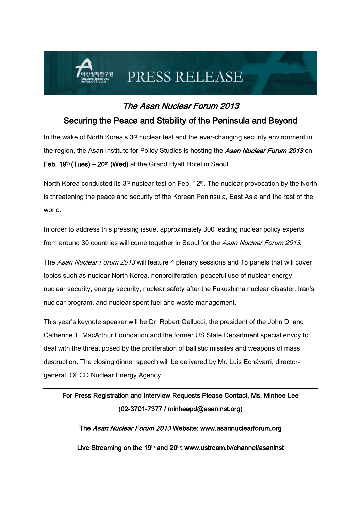# PRESS RELEASE

### The Asan Nuclear Forum 2013

#### Securing the Peace and Stability of the Peninsula and Beyond

In the wake of North Korea's 3<sup>rd</sup> nuclear test and the ever-changing security environment in the region, the Asan Institute for Policy Studies is hosting the Asan Nuclear Forum 2013 on Feb.  $19<sup>th</sup>$  (Tues) –  $20<sup>th</sup>$  (Wed) at the Grand Hyatt Hotel in Seoul.

North Korea conducted its  $3<sup>rd</sup>$  nuclear test on Feb. 12<sup>th</sup>. The nuclear provocation by the North is threatening the peace and security of the Korean Peninsula, East Asia and the rest of the world.

In order to address this pressing issue, approximately 300 leading nuclear policy experts from around 30 countries will come together in Seoul for the Asan Nuclear Forum 2013.

The Asan Nuclear Forum 2013 will feature 4 plenary sessions and 18 panels that will cover topics such as nuclear North Korea, nonproliferation, peaceful use of nuclear energy, nuclear security, energy security, nuclear safety after the Fukushima nuclear disaster, Iran's nuclear program, and nuclear spent fuel and waste management.

This year's keynote speaker will be Dr. Robert Gallucci, the president of the John D. and Catherine T. MacArthur Foundation and the former US State Department special envoy to deal with the threat posed by the proliferation of ballistic missiles and weapons of mass destruction. The closing dinner speech will be delivered by Mr. Luis Echávarri, directorgeneral, OECD Nuclear Energy Agency.

## For Press Registration and Interview Requests Please Contact, Ms. Minhee Lee (02-3701-7377 / [minheepd@asaninst.org\)](mailto:minheepd@asaninst.org)

The Asan Nuclear Forum 2013 Website: www.asannuclearforum.org

Live Streaming on the 19<sup>th</sup> and 20<sup>th</sup>: [www.ustream.tv/channel/asaninst](http://www.ustream.tv/channel/asaninst)